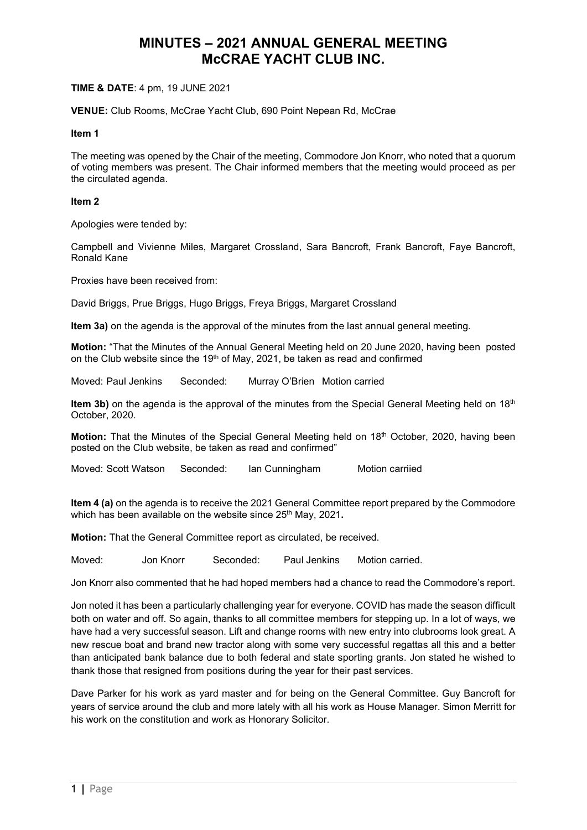### TIME & DATE: 4 pm, 19 JUNE 2021

VENUE: Club Rooms, McCrae Yacht Club, 690 Point Nepean Rd, McCrae

#### Item 1

The meeting was opened by the Chair of the meeting, Commodore Jon Knorr, who noted that a quorum of voting members was present. The Chair informed members that the meeting would proceed as per the circulated agenda.

#### Item 2

Apologies were tended by:

Campbell and Vivienne Miles, Margaret Crossland, Sara Bancroft, Frank Bancroft, Faye Bancroft, Ronald Kane

Proxies have been received from:

David Briggs, Prue Briggs, Hugo Briggs, Freya Briggs, Margaret Crossland

Item 3a) on the agenda is the approval of the minutes from the last annual general meeting.

Motion: "That the Minutes of the Annual General Meeting held on 20 June 2020, having been posted on the Club website since the 19th of May, 2021, be taken as read and confirmed

Moved: Paul Jenkins Seconded: Murray O'Brien Motion carried

Item 3b) on the agenda is the approval of the minutes from the Special General Meeting held on 18<sup>th</sup> October, 2020.

Motion: That the Minutes of the Special General Meeting held on 18<sup>th</sup> October, 2020, having been posted on the Club website, be taken as read and confirmed"

Moved: Scott Watson Seconded: Ian Cunningham Motion carriied

Item 4 (a) on the agenda is to receive the 2021 General Committee report prepared by the Commodore which has been available on the website since 25<sup>th</sup> May, 2021.

Motion: That the General Committee report as circulated, be received.

Moved: Jon Knorr Seconded: Paul Jenkins Motion carried.

Jon Knorr also commented that he had hoped members had a chance to read the Commodore's report.

Jon noted it has been a particularly challenging year for everyone. COVID has made the season difficult both on water and off. So again, thanks to all committee members for stepping up. In a lot of ways, we have had a very successful season. Lift and change rooms with new entry into clubrooms look great. A new rescue boat and brand new tractor along with some very successful regattas all this and a better than anticipated bank balance due to both federal and state sporting grants. Jon stated he wished to thank those that resigned from positions during the year for their past services.

Dave Parker for his work as yard master and for being on the General Committee. Guy Bancroft for years of service around the club and more lately with all his work as House Manager. Simon Merritt for his work on the constitution and work as Honorary Solicitor.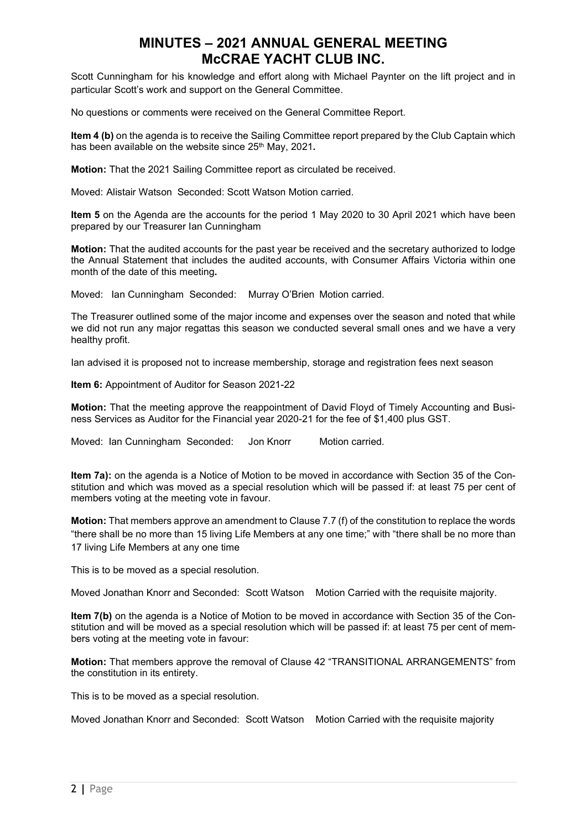Scott Cunningham for his knowledge and effort along with Michael Paynter on the lift project and in particular Scott's work and support on the General Committee.

No questions or comments were received on the General Committee Report.

Item 4 (b) on the agenda is to receive the Sailing Committee report prepared by the Club Captain which has been available on the website since 25<sup>th</sup> May, 2021.

Motion: That the 2021 Sailing Committee report as circulated be received.

Moved: Alistair Watson Seconded: Scott Watson Motion carried.

Item 5 on the Agenda are the accounts for the period 1 May 2020 to 30 April 2021 which have been prepared by our Treasurer Ian Cunningham

Motion: That the audited accounts for the past year be received and the secretary authorized to lodge the Annual Statement that includes the audited accounts, with Consumer Affairs Victoria within one month of the date of this meeting.

Moved: Ian Cunningham Seconded: Murray O'Brien Motion carried.

The Treasurer outlined some of the major income and expenses over the season and noted that while we did not run any major regattas this season we conducted several small ones and we have a very healthy profit.

Ian advised it is proposed not to increase membership, storage and registration fees next season

Item 6: Appointment of Auditor for Season 2021-22

Motion: That the meeting approve the reappointment of David Floyd of Timely Accounting and Business Services as Auditor for the Financial year 2020-21 for the fee of \$1,400 plus GST.

Moved: Ian Cunningham Seconded: Jon Knorr Motion carried.

Item 7a): on the agenda is a Notice of Motion to be moved in accordance with Section 35 of the Constitution and which was moved as a special resolution which will be passed if: at least 75 per cent of members voting at the meeting vote in favour.

Motion: That members approve an amendment to Clause 7.7 (f) of the constitution to replace the words "there shall be no more than 15 living Life Members at any one time;" with "there shall be no more than 17 living Life Members at any one time

This is to be moved as a special resolution.

Moved Jonathan Knorr and Seconded: Scott Watson Motion Carried with the requisite majority.

Item 7(b) on the agenda is a Notice of Motion to be moved in accordance with Section 35 of the Constitution and will be moved as a special resolution which will be passed if: at least 75 per cent of members voting at the meeting vote in favour:

Motion: That members approve the removal of Clause 42 "TRANSITIONAL ARRANGEMENTS" from the constitution in its entirety.

This is to be moved as a special resolution.

Moved Jonathan Knorr and Seconded: Scott Watson Motion Carried with the requisite majority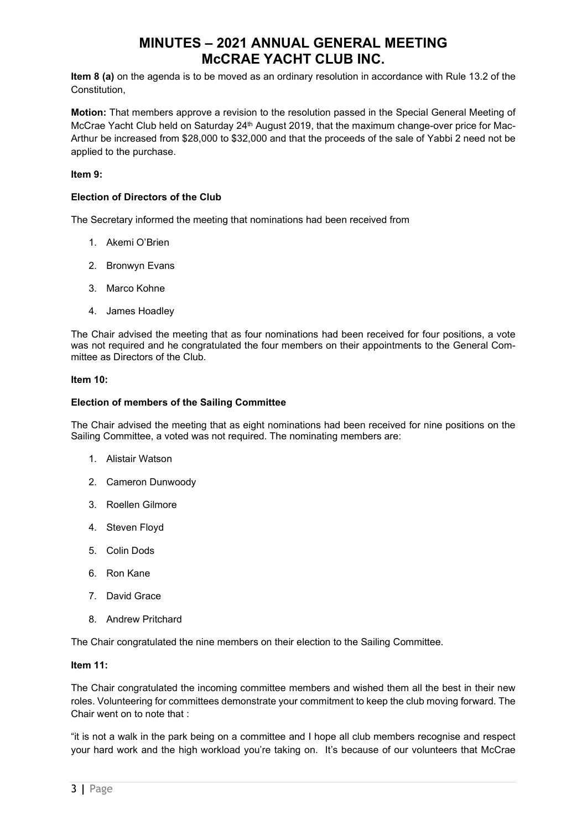Item 8 (a) on the agenda is to be moved as an ordinary resolution in accordance with Rule 13.2 of the Constitution,

Motion: That members approve a revision to the resolution passed in the Special General Meeting of McCrae Yacht Club held on Saturday 24<sup>th</sup> August 2019, that the maximum change-over price for Mac-Arthur be increased from \$28,000 to \$32,000 and that the proceeds of the sale of Yabbi 2 need not be applied to the purchase.

### Item 9:

### Election of Directors of the Club

The Secretary informed the meeting that nominations had been received from

- 1. Akemi O'Brien
- 2. Bronwyn Evans
- 3. Marco Kohne
- 4. James Hoadley

The Chair advised the meeting that as four nominations had been received for four positions, a vote was not required and he congratulated the four members on their appointments to the General Committee as Directors of the Club.

#### Item 10:

#### Election of members of the Sailing Committee

The Chair advised the meeting that as eight nominations had been received for nine positions on the Sailing Committee, a voted was not required. The nominating members are:

- 1. Alistair Watson
- 2. Cameron Dunwoody
- 3. Roellen Gilmore
- 4. Steven Floyd
- 5. Colin Dods
- 6. Ron Kane
- 7. David Grace
- 8. Andrew Pritchard

The Chair congratulated the nine members on their election to the Sailing Committee.

### Item 11:

The Chair congratulated the incoming committee members and wished them all the best in their new roles. Volunteering for committees demonstrate your commitment to keep the club moving forward. The Chair went on to note that :

"it is not a walk in the park being on a committee and I hope all club members recognise and respect your hard work and the high workload you're taking on. It's because of our volunteers that McCrae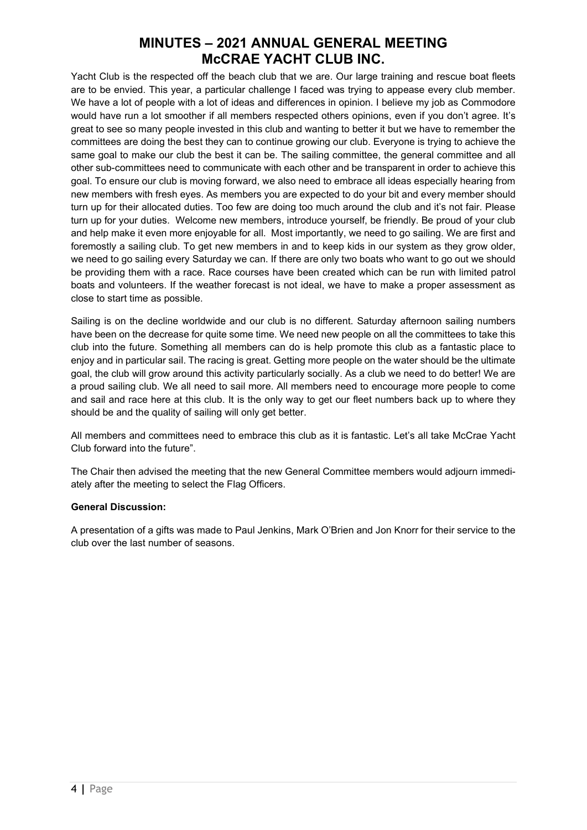Yacht Club is the respected off the beach club that we are. Our large training and rescue boat fleets are to be envied. This year, a particular challenge I faced was trying to appease every club member. We have a lot of people with a lot of ideas and differences in opinion. I believe my job as Commodore would have run a lot smoother if all members respected others opinions, even if you don't agree. It's great to see so many people invested in this club and wanting to better it but we have to remember the committees are doing the best they can to continue growing our club. Everyone is trying to achieve the same goal to make our club the best it can be. The sailing committee, the general committee and all other sub-committees need to communicate with each other and be transparent in order to achieve this goal. To ensure our club is moving forward, we also need to embrace all ideas especially hearing from new members with fresh eyes. As members you are expected to do your bit and every member should turn up for their allocated duties. Too few are doing too much around the club and it's not fair. Please turn up for your duties. Welcome new members, introduce yourself, be friendly. Be proud of your club and help make it even more enjoyable for all. Most importantly, we need to go sailing. We are first and foremostly a sailing club. To get new members in and to keep kids in our system as they grow older. we need to go sailing every Saturday we can. If there are only two boats who want to go out we should be providing them with a race. Race courses have been created which can be run with limited patrol boats and volunteers. If the weather forecast is not ideal, we have to make a proper assessment as close to start time as possible.

Sailing is on the decline worldwide and our club is no different. Saturday afternoon sailing numbers have been on the decrease for quite some time. We need new people on all the committees to take this club into the future. Something all members can do is help promote this club as a fantastic place to enjoy and in particular sail. The racing is great. Getting more people on the water should be the ultimate goal, the club will grow around this activity particularly socially. As a club we need to do better! We are a proud sailing club. We all need to sail more. All members need to encourage more people to come and sail and race here at this club. It is the only way to get our fleet numbers back up to where they should be and the quality of sailing will only get better.

All members and committees need to embrace this club as it is fantastic. Let's all take McCrae Yacht Club forward into the future".

The Chair then advised the meeting that the new General Committee members would adjourn immediately after the meeting to select the Flag Officers.

## General Discussion:

A presentation of a gifts was made to Paul Jenkins, Mark O'Brien and Jon Knorr for their service to the club over the last number of seasons.